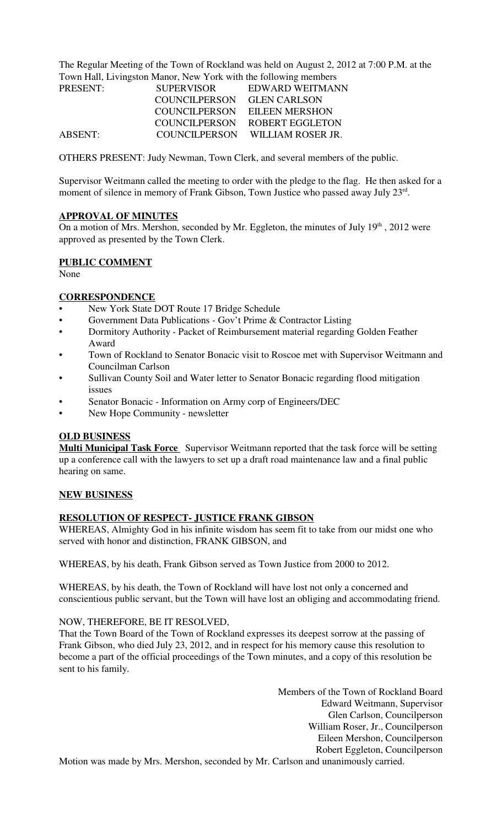The Regular Meeting of the Town of Rockland was held on August 2, 2012 at 7:00 P.M. at the Town Hall, Livingston Manor, New York with the following members

| PRESENT: | <b>SUPERVISOR</b> | EDWARD WEITMANN       |
|----------|-------------------|-----------------------|
|          | COUNCILPERSON     | <b>GLEN CARLSON</b>   |
|          | COUNCILPERSON     | <b>EILEEN MERSHON</b> |
|          | COUNCILPERSON     | ROBERT EGGLETON       |
| ABSENT:  | COUNCILPERSON     | WILLIAM ROSER JR.     |

OTHERS PRESENT: Judy Newman, Town Clerk, and several members of the public.

Supervisor Weitmann called the meeting to order with the pledge to the flag. He then asked for a moment of silence in memory of Frank Gibson, Town Justice who passed away July 23rd.

### **APPROVAL OF MINUTES**

On a motion of Mrs. Mershon, seconded by Mr. Eggleton, the minutes of July  $19<sup>th</sup>$ , 2012 were approved as presented by the Town Clerk.

### **PUBLIC COMMENT**

None

## **CORRESPONDENCE**

- New York State DOT Route 17 Bridge Schedule
- Government Data Publications Gov't Prime & Contractor Listing
- Dormitory Authority Packet of Reimbursement material regarding Golden Feather Award
- Town of Rockland to Senator Bonacic visit to Roscoe met with Supervisor Weitmann and Councilman Carlson
- Sullivan County Soil and Water letter to Senator Bonacic regarding flood mitigation issues
- Senator Bonacic Information on Army corp of Engineers/DEC
- New Hope Community newsletter

## **OLD BUSINESS**

**Multi Municipal Task Force** Supervisor Weitmann reported that the task force will be setting up a conference call with the lawyers to set up a draft road maintenance law and a final public hearing on same.

#### **NEW BUSINESS**

## **RESOLUTION OF RESPECT- JUSTICE FRANK GIBSON**

WHEREAS, Almighty God in his infinite wisdom has seem fit to take from our midst one who served with honor and distinction, FRANK GIBSON, and

WHEREAS, by his death, Frank Gibson served as Town Justice from 2000 to 2012.

WHEREAS, by his death, the Town of Rockland will have lost not only a concerned and conscientious public servant, but the Town will have lost an obliging and accommodating friend.

## NOW, THEREFORE, BE IT RESOLVED,

That the Town Board of the Town of Rockland expresses its deepest sorrow at the passing of Frank Gibson, who died July 23, 2012, and in respect for his memory cause this resolution to become a part of the official proceedings of the Town minutes, and a copy of this resolution be sent to his family.

> Members of the Town of Rockland Board Edward Weitmann, Supervisor Glen Carlson, Councilperson William Roser, Jr., Councilperson Eileen Mershon, Councilperson Robert Eggleton, Councilperson

Motion was made by Mrs. Mershon, seconded by Mr. Carlson and unanimously carried.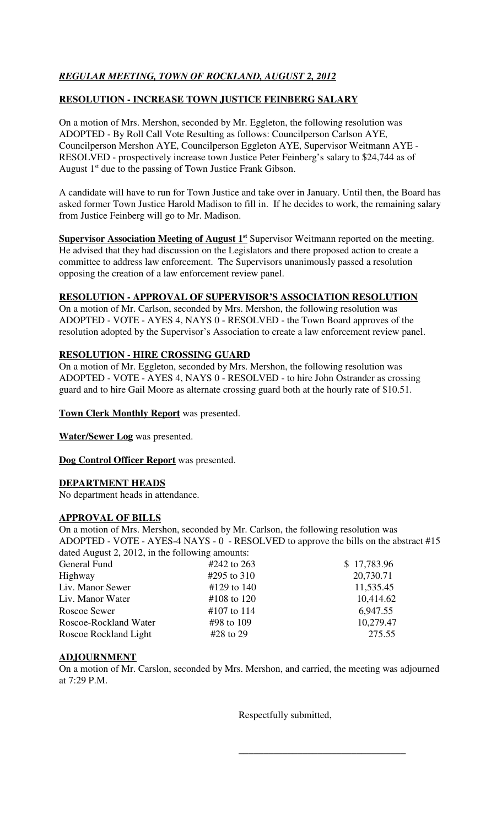# **RESOLUTION - INCREASE TOWN JUSTICE FEINBERG SALARY**

On a motion of Mrs. Mershon, seconded by Mr. Eggleton, the following resolution was ADOPTED - By Roll Call Vote Resulting as follows: Councilperson Carlson AYE, Councilperson Mershon AYE, Councilperson Eggleton AYE, Supervisor Weitmann AYE - RESOLVED - prospectively increase town Justice Peter Feinberg's salary to \$24,744 as of August  $1<sup>st</sup>$  due to the passing of Town Justice Frank Gibson.

A candidate will have to run for Town Justice and take over in January. Until then, the Board has asked former Town Justice Harold Madison to fill in. If he decides to work, the remaining salary from Justice Feinberg will go to Mr. Madison.

**Supervisor Association Meeting of August 1<sup>st</sup> Supervisor Weitmann reported on the meeting.** He advised that they had discussion on the Legislators and there proposed action to create a committee to address law enforcement. The Supervisors unanimously passed a resolution opposing the creation of a law enforcement review panel.

# **RESOLUTION - APPROVAL OF SUPERVISOR'S ASSOCIATION RESOLUTION**

On a motion of Mr. Carlson, seconded by Mrs. Mershon, the following resolution was ADOPTED - VOTE - AYES 4, NAYS 0 - RESOLVED - the Town Board approves of the resolution adopted by the Supervisor's Association to create a law enforcement review panel.

# **RESOLUTION - HIRE CROSSING GUARD**

On a motion of Mr. Eggleton, seconded by Mrs. Mershon, the following resolution was ADOPTED - VOTE - AYES 4, NAYS 0 - RESOLVED - to hire John Ostrander as crossing guard and to hire Gail Moore as alternate crossing guard both at the hourly rate of \$10.51.

## **Town Clerk Monthly Report** was presented.

**Water/Sewer Log** was presented.

**Dog Control Officer Report** was presented.

# **DEPARTMENT HEADS**

No department heads in attendance.

## **APPROVAL OF BILLS**

On a motion of Mrs. Mershon, seconded by Mr. Carlson, the following resolution was ADOPTED - VOTE - AYES-4 NAYS - 0 - RESOLVED to approve the bills on the abstract #15 dated August 2, 2012, in the following amounts:

| General Fund          | #242 to 263 | \$17,783.96 |
|-----------------------|-------------|-------------|
| Highway               | #295 to 310 | 20,730.71   |
| Liv. Manor Sewer      | #129 to 140 | 11,535.45   |
| Liv. Manor Water      | #108 to 120 | 10,414.62   |
| Roscoe Sewer          | #107 to 114 | 6,947.55    |
| Roscoe-Rockland Water | #98 to 109  | 10,279.47   |
| Roscoe Rockland Light | $#28$ to 29 | 275.55      |
|                       |             |             |

## **ADJOURNMENT**

On a motion of Mr. Carslon, seconded by Mrs. Mershon, and carried, the meeting was adjourned at 7:29 P.M.

 $\overline{\phantom{a}}$  ,  $\overline{\phantom{a}}$  ,  $\overline{\phantom{a}}$  ,  $\overline{\phantom{a}}$  ,  $\overline{\phantom{a}}$  ,  $\overline{\phantom{a}}$  ,  $\overline{\phantom{a}}$  ,  $\overline{\phantom{a}}$  ,  $\overline{\phantom{a}}$  ,  $\overline{\phantom{a}}$  ,  $\overline{\phantom{a}}$  ,  $\overline{\phantom{a}}$  ,  $\overline{\phantom{a}}$  ,  $\overline{\phantom{a}}$  ,  $\overline{\phantom{a}}$  ,  $\overline{\phantom{a}}$ 

Respectfully submitted,